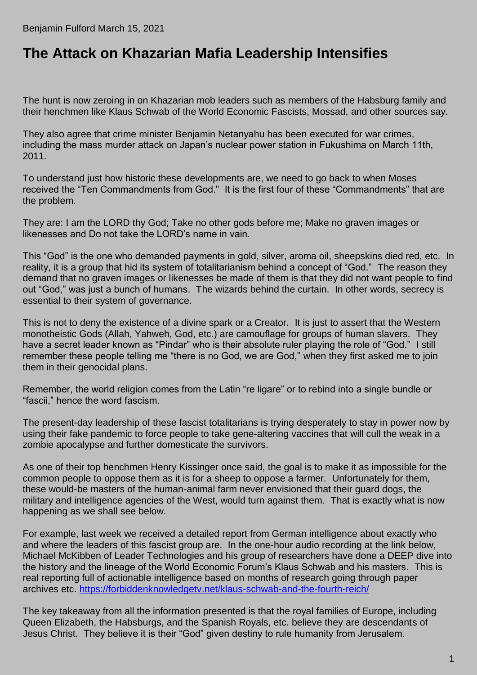## **The [Attack on Khazarian Mafia Leadership Intensifies](https://benjaminfulford.net/2021/03/15/attack-on-khazarian-mafia-leadership-intensifies/)**

The hunt is now zeroing in on Khazarian mob leaders such as members of the Habsburg family and their henchmen like Klaus Schwab of the World Economic Fascists, Mossad, and other sources say.

They also agree that crime minister Benjamin Netanyahu has been executed for war crimes, including the mass murder attack on Japan's nuclear power station in Fukushima on March 11th, 2011.

To understand just how historic these developments are, we need to go back to when Moses received the "Ten Commandments from God." It is the first four of these "Commandments" that are the problem.

They are: I am the LORD thy God; Take no other gods before me; Make no graven images or likenesses and Do not take the LORD's name in vain.

This "God" is the one who demanded payments in gold, silver, aroma oil, sheepskins died red, etc. In reality, it is a group that hid its system of totalitarianism behind a concept of "God." The reason they demand that no graven images or likenesses be made of them is that they did not want people to find out "God," was just a bunch of humans. The wizards behind the curtain. In other words, secrecy is essential to their system of governance.

This is not to deny the existence of a divine spark or a Creator. It is just to assert that the Western monotheistic Gods (Allah, Yahweh, God, etc.) are camouflage for groups of human slavers. They have a secret leader known as "Pindar" who is their absolute ruler playing the role of "God." I still remember these people telling me "there is no God, we are God," when they first asked me to join them in their genocidal plans.

Remember, the world religion comes from the Latin "re ligare" or to rebind into a single bundle or "fascii," hence the word fascism.

The present-day leadership of these fascist totalitarians is trying desperately to stay in power now by using their fake pandemic to force people to take gene-altering vaccines that will cull the weak in a zombie apocalypse and further domesticate the survivors.

As one of their top henchmen Henry Kissinger once said, the goal is to make it as impossible for the common people to oppose them as it is for a sheep to oppose a farmer. Unfortunately for them, these would-be masters of the human-animal farm never envisioned that their guard dogs, the military and intelligence agencies of the West, would turn against them. That is exactly what is now happening as we shall see below.

For example, last week we received a detailed report from German intelligence about exactly who and where the leaders of this fascist group are. In the one-hour audio recording at the link below, Michael McKibben of Leader Technologies and his group of researchers have done a DEEP dive into the history and the lineage of the World Economic Forum's Klaus Schwab and his masters. This is real reporting full of actionable intelligence based on months of research going through paper archives etc.<https://forbiddenknowledgetv.net/klaus-schwab-and-the-fourth-reich/>

The key takeaway from all the information presented is that the royal families of Europe, including Queen Elizabeth, the Habsburgs, and the Spanish Royals, etc. believe they are descendants of Jesus Christ. They believe it is their "God" given destiny to rule humanity from Jerusalem.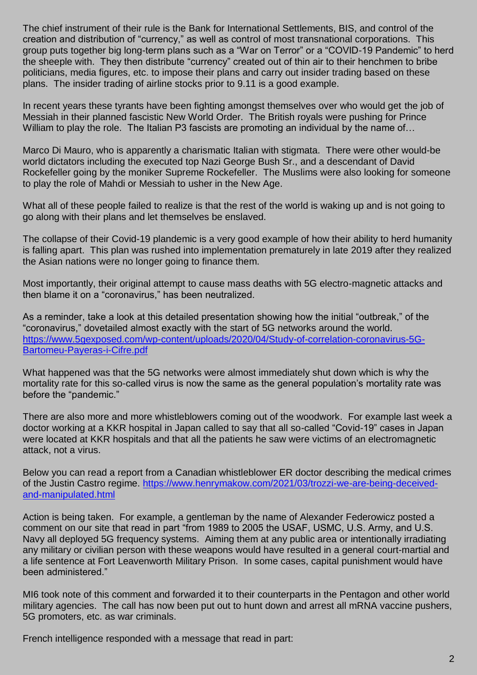The chief instrument of their rule is the Bank for International Settlements, BIS, and control of the creation and distribution of "currency," as well as control of most transnational corporations. This group puts together big long-term plans such as a "War on Terror" or a "COVID-19 Pandemic" to herd the sheeple with. They then distribute "currency" created out of thin air to their henchmen to bribe politicians, media figures, etc. to impose their plans and carry out insider trading based on these plans. The insider trading of airline stocks prior to 9.11 is a good example.

In recent years these tyrants have been fighting amongst themselves over who would get the job of Messiah in their planned fascistic New World Order. The British royals were pushing for Prince William to play the role. The Italian P3 fascists are promoting an individual by the name of...

Marco Di Mauro, who is apparently a charismatic Italian with stigmata. There were other would-be world dictators including the executed top Nazi George Bush Sr., and a descendant of David Rockefeller going by the moniker Supreme Rockefeller. The Muslims were also looking for someone to play the role of Mahdi or Messiah to usher in the New Age.

What all of these people failed to realize is that the rest of the world is waking up and is not going to go along with their plans and let themselves be enslaved.

The collapse of their Covid-19 plandemic is a very good example of how their ability to herd humanity is falling apart. This plan was rushed into implementation prematurely in late 2019 after they realized the Asian nations were no longer going to finance them.

Most importantly, their original attempt to cause mass deaths with 5G electro-magnetic attacks and then blame it on a "coronavirus," has been neutralized.

As a reminder, take a look at this detailed presentation showing how the initial "outbreak," of the "coronavirus," dovetailed almost exactly with the start of 5G networks around the world. [https://www.5gexposed.com/wp-content/uploads/2020/04/Study-of-correlation-coronavirus-5G-](https://www.5gexposed.com/wp-content/uploads/2020/04/Study-of-correlation-coronavirus-5G-Bartomeu-Payeras-i-Cifre.pdf)[Bartomeu-Payeras-i-Cifre.pdf](https://www.5gexposed.com/wp-content/uploads/2020/04/Study-of-correlation-coronavirus-5G-Bartomeu-Payeras-i-Cifre.pdf)

What happened was that the 5G networks were almost immediately shut down which is why the mortality rate for this so-called virus is now the same as the general population's mortality rate was before the "pandemic."

There are also more and more whistleblowers coming out of the woodwork. For example last week a doctor working at a KKR hospital in Japan called to say that all so-called "Covid-19" cases in Japan were located at KKR hospitals and that all the patients he saw were victims of an electromagnetic attack, not a virus.

Below you can read a report from a Canadian whistleblower ER doctor describing the medical crimes of the Justin Castro regime. [https://www.henrymakow.com/2021/03/trozzi-we-are-being-deceived](https://www.henrymakow.com/2021/03/trozzi-we-are-being-deceived-and-manipulated.html)[and-manipulated.html](https://www.henrymakow.com/2021/03/trozzi-we-are-being-deceived-and-manipulated.html)

Action is being taken. For example, a gentleman by the name of Alexander Federowicz posted a comment on our site that read in part "from 1989 to 2005 the USAF, USMC, U.S. Army, and U.S. Navy all deployed 5G frequency systems. Aiming them at any public area or intentionally irradiating any military or civilian person with these weapons would have resulted in a general court-martial and a life sentence at Fort Leavenworth Military Prison. In some cases, capital punishment would have been administered."

MI6 took note of this comment and forwarded it to their counterparts in the Pentagon and other world military agencies. The call has now been put out to hunt down and arrest all mRNA vaccine pushers, 5G promoters, etc. as war criminals.

French intelligence responded with a message that read in part: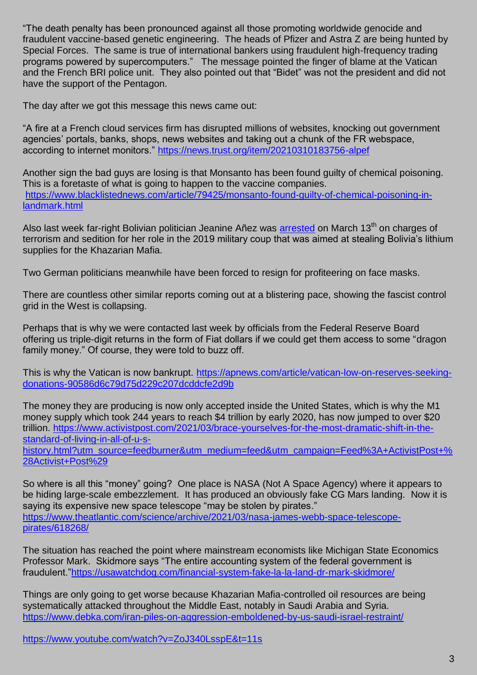"The death penalty has been pronounced against all those promoting worldwide genocide and fraudulent vaccine-based genetic engineering. The heads of Pfizer and Astra Z are being hunted by Special Forces. The same is true of international bankers using fraudulent high-frequency trading programs powered by supercomputers." The message pointed the finger of blame at the Vatican and the French BRI police unit. They also pointed out that "Bidet" was not the president and did not have the support of the Pentagon.

The day after we got this message this news came out:

"A fire at a French cloud services firm has disrupted millions of websites, knocking out government agencies' portals, banks, shops, news websites and taking out a chunk of the FR webspace, according to internet monitors."<https://news.trust.org/item/20210310183756-alpef>

Another sign the bad guys are losing is that Monsanto has been found guilty of chemical poisoning. This is a foretaste of what is going to happen to the vaccine companies. [https://www.blacklistednews.com/article/79425/monsanto-found-guilty-of-chemical-poisoning-in](https://www.blacklistednews.com/article/79425/monsanto-found-guilty-of-chemical-poisoning-in-landmark.html)[landmark.html](https://www.blacklistednews.com/article/79425/monsanto-found-guilty-of-chemical-poisoning-in-landmark.html)

Also last week far-right Bolivian politician Jeanine Añez was [arrested](https://www.aljazeera.com/news/2021/3/13/bolivia-ex-president-anez-arrested-in-coup-probe-minister) on March 13<sup>th</sup> on charges of terrorism and sedition for her role in the 2019 military coup that was aimed at stealing Bolivia's lithium supplies for the Khazarian Mafia.

Two German politicians meanwhile have been forced to resign for profiteering on face masks.

There are countless other similar reports coming out at a blistering pace, showing the fascist control grid in the West is collapsing.

Perhaps that is why we were contacted last week by officials from the Federal Reserve Board offering us triple-digit returns in the form of Fiat dollars if we could get them access to some "dragon family money." Of course, they were told to buzz off.

This is why the Vatican is now bankrupt. [https://apnews.com/article/vatican-low-on-reserves-seeking](https://apnews.com/article/vatican-low-on-reserves-seeking-donations-90586d6c79d75d229c207dcddcfe2d9b)[donations-90586d6c79d75d229c207dcddcfe2d9b](https://apnews.com/article/vatican-low-on-reserves-seeking-donations-90586d6c79d75d229c207dcddcfe2d9b)

The money they are producing is now only accepted inside the United States, which is why the M1 money supply which took 244 years to reach \$4 trillion by early 2020, has now jumped to over \$20 trillion. [https://www.activistpost.com/2021/03/brace-yourselves-for-the-most-dramatic-shift-in-the](https://www.activistpost.com/2021/03/brace-yourselves-for-the-most-dramatic-shift-in-the-standard-of-living-in-all-of-u-s-history.html?utm_source=feedburner&utm_medium=feed&utm_campaign=Feed%3A+ActivistPost+%28Activist+Post%29)[standard-of-living-in-all-of-u-s-](https://www.activistpost.com/2021/03/brace-yourselves-for-the-most-dramatic-shift-in-the-standard-of-living-in-all-of-u-s-history.html?utm_source=feedburner&utm_medium=feed&utm_campaign=Feed%3A+ActivistPost+%28Activist+Post%29)

[history.html?utm\\_source=feedburner&utm\\_medium=feed&utm\\_campaign=Feed%3A+ActivistPost+%](https://www.activistpost.com/2021/03/brace-yourselves-for-the-most-dramatic-shift-in-the-standard-of-living-in-all-of-u-s-history.html?utm_source=feedburner&utm_medium=feed&utm_campaign=Feed%3A+ActivistPost+%28Activist+Post%29) [28Activist+Post%29](https://www.activistpost.com/2021/03/brace-yourselves-for-the-most-dramatic-shift-in-the-standard-of-living-in-all-of-u-s-history.html?utm_source=feedburner&utm_medium=feed&utm_campaign=Feed%3A+ActivistPost+%28Activist+Post%29)

So where is all this "money" going? One place is NASA (Not A Space Agency) where it appears to be hiding large-scale embezzlement. It has produced an obviously fake CG Mars landing. Now it is saying its expensive new space telescope "may be stolen by pirates." [https://www.theatlantic.com/science/archive/2021/03/nasa-james-webb-space-telescope](https://www.theatlantic.com/science/archive/2021/03/nasa-james-webb-space-telescope-pirates/618268/)[pirates/618268/](https://www.theatlantic.com/science/archive/2021/03/nasa-james-webb-space-telescope-pirates/618268/)

The situation has reached the point where mainstream economists like Michigan State Economics Professor Mark. Skidmore says "The entire accounting system of the federal government is fraudulent.["https://usawatchdog.com/financial-system-fake-la-la-land-dr-mark-skidmore/](https://usawatchdog.com/financial-system-fake-la-la-land-dr-mark-skidmore/)

Things are only going to get worse because Khazarian Mafia-controlled oil resources are being systematically attacked throughout the Middle East, notably in Saudi Arabia and Syria. <https://www.debka.com/iran-piles-on-aggression-emboldened-by-us-saudi-israel-restraint/>

<https://www.youtube.com/watch?v=ZoJ340LsspE&t=11s>